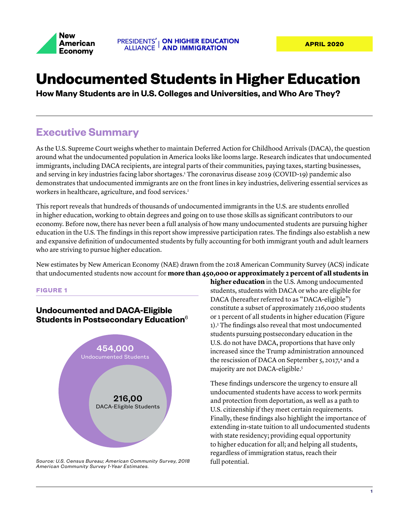

# **Undocumented Students in Higher Education**

**How Many Students are in U.S. Colleges and Universities, and Who Are They?**

## **Executive Summary**

As the U.S. Supreme Court weighs whether to maintain Deferred Action for Childhood Arrivals (DACA), the question around what the undocumented population in America looks like looms large. Research indicates that undocumented immigrants, including DACA recipients, are integral parts of their communities, paying taxes, starting businesses, and serving in key industries facing labor shortages.<sup>1</sup> The coronavirus disease 2019 (COVID-19) pandemic also demonstrates that undocumented immigrants are on the front lines in key industries, delivering essential services as workers in healthcare, agriculture, and food services.<sup>2</sup>

This report reveals that hundreds of thousands of undocumented immigrants in the U.S. are students enrolled in higher education, working to obtain degrees and going on to use those skills as significant contributors to our economy. Before now, there has never been a full analysis of how many undocumented students are pursuing higher education in the U.S. The findings in this report show impressive participation rates. The findings also establish a new and expansive definition of undocumented students by fully accounting for both immigrant youth and adult learners who are striving to pursue higher education.

New estimates by New American Economy (NAE) drawn from the 2018 American Community Survey (ACS) indicate that undocumented students now account for **more than 450,000 or approximately 2 percent of all students in** 

#### **FIGURE 1**

### **Undocumented and DACA-Eligible Students in Postsecondary Education**<sup>6</sup>



*Source: U.S. Census Bureau; American Community Survey, 2018 American Community Survey 1-Year Estimates.*

**higher education** in the U.S. Among undocumented students, students with DACA or who are eligible for DACA (hereafter referred to as "DACA-eligible") constitute a subset of approximately 216,000 students or 1 percent of all students in higher education (Figure 1).<sup>3</sup> The findings also reveal that most undocumented students pursuing postsecondary education in the U.S. do not have DACA, proportions that have only increased since the Trump administration announced the rescission of DACA on September 5, 2017,<sup>4</sup> and a majority are not DACA-eligible.<sup>5</sup>

These findings underscore the urgency to ensure all undocumented students have access to work permits and protection from deportation, as well as a path to U.S. citizenship if they meet certain requirements. Finally, these findings also highlight the importance of extending in-state tuition to all undocumented students with state residency; providing equal opportunity to higher education for all; and helping all students, regardless of immigration status, reach their full potential.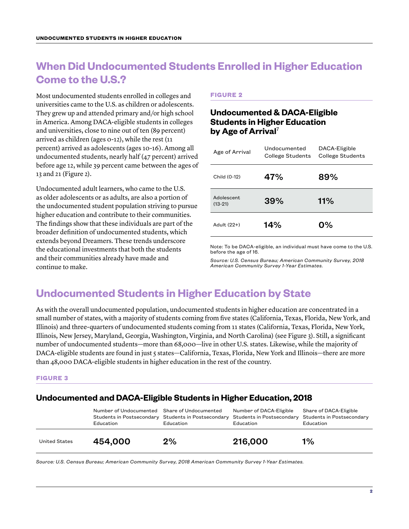## **When Did Undocumented Students Enrolled in Higher Education Come to the U.S.?**

Most undocumented students enrolled in colleges and universities came to the U.S. as children or adolescents. They grew up and attended primary and/or high school in America. Among DACA-eligible students in colleges and universities, close to nine out of ten (89 percent) arrived as children (ages 0-12), while the rest (11 percent) arrived as adolescents (ages 10-16). Among all undocumented students, nearly half (47 percent) arrived before age 12, while 39 percent came between the ages of 13 and 21 (Figure 2).

Undocumented adult learners, who came to the U.S. as older adolescents or as adults, are also a portion of the undocumented student population striving to pursue higher education and contribute to their communities. The findings show that these individuals are part of the broader definition of undocumented students, which extends beyond Dreamers. These trends underscore the educational investments that both the students and their communities already have made and continue to make.

#### **FIGURE 2**

### **Undocumented & DACA-Eligible Students in Higher Education by Age of Arrival**<sup>7</sup>

| Age of Arrival          | Undocumented<br>College Students | DACA-Eligible<br><b>College Students</b> |  |
|-------------------------|----------------------------------|------------------------------------------|--|
| Child (0-12)            | 47%                              | 89%                                      |  |
| Adolescent<br>$(13-21)$ | 39%                              | 11%                                      |  |
| Adult (22+)             | 14%                              | 0%                                       |  |

Note: To be DACA-eligible, an individual must have come to the U.S. before the age of 16.

*Source: U.S. Census Bureau; American Community Survey, 2018 American Community Survey 1-Year Estimates.*

## **Undocumented Students in Higher Education by State**

As with the overall undocumented population, undocumented students in higher education are concentrated in a small number of states, with a majority of students coming from five states (California, Texas, Florida, New York, and Illinois) and three-quarters of undocumented students coming from 11 states (California, Texas, Florida, New York, Illinois, New Jersey, Maryland, Georgia, Washington, Virginia, and North Carolina) (see Figure 3). Still, a significant number of undocumented students—more than 68,000—live in other U.S. states. Likewise, while the majority of DACA-eligible students are found in just 5 states—California, Texas, Florida, New York and Illinois—there are more than 48,000 DACA-eligible students in higher education in the rest of the country.

#### **FIGURE 3**

### **Undocumented and DACA-Eligible Students in Higher Education, 2018**

|               | Number of Undocumented Share of Undocumented<br>Education | Students in Postsecondary Students in Postsecondary<br>Education | Number of DACA-Eligible<br>Education | Share of DACA-Eligible<br>Students in Postsecondary Students in Postsecondary<br>Education |
|---------------|-----------------------------------------------------------|------------------------------------------------------------------|--------------------------------------|--------------------------------------------------------------------------------------------|
| United States | 454,000                                                   | 2%                                                               | 216,000                              | $1\%$                                                                                      |

*Source: U.S. Census Bureau; American Community Survey, 2018 American Community Survey 1-Year Estimates.*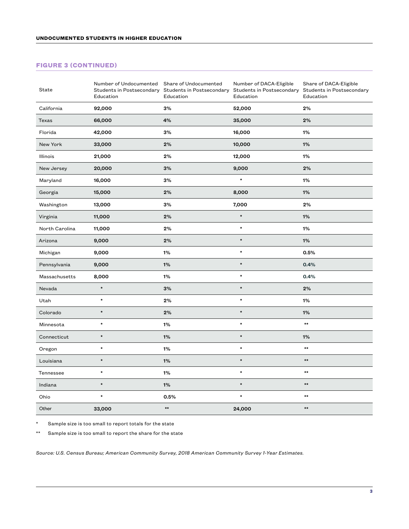#### **FIGURE 3 (CONTINUED)**

| State          | Number of Undocumented<br>Education | Share of Undocumented<br>Students in Postsecondary Students in Postsecondary<br>Education | Number of DACA-Eligible<br>Education | Share of DACA-Eligible<br>Students in Postsecondary Students in Postsecondary<br>Education |
|----------------|-------------------------------------|-------------------------------------------------------------------------------------------|--------------------------------------|--------------------------------------------------------------------------------------------|
| California     | 92,000                              | 3%                                                                                        | 52,000                               | 2%                                                                                         |
| Texas          | 66,000                              | 4%                                                                                        | 35,000                               | 2%                                                                                         |
| Florida        | 42,000                              | 3%                                                                                        | 16,000                               | 1%                                                                                         |
| New York       | 33,000                              | 2%                                                                                        | 10,000                               | 1%                                                                                         |
| Illinois       | 21,000                              | 2%                                                                                        | 12,000                               | 1%                                                                                         |
| New Jersey     | 20,000                              | 3%                                                                                        | 9,000                                | 2%                                                                                         |
| Maryland       | 16,000                              | 3%                                                                                        | $\star$                              | 1%                                                                                         |
| Georgia        | 15,000                              | 2%                                                                                        | 8,000                                | 1%                                                                                         |
| Washington     | 13,000                              | 3%                                                                                        | 7,000                                | 2%                                                                                         |
| Virginia       | 11,000                              | 2%                                                                                        | $\star$                              | 1%                                                                                         |
| North Carolina | 11,000                              | 2%                                                                                        | $\star$                              | 1%                                                                                         |
| Arizona        | 9,000                               | 2%                                                                                        | $\star$                              | 1%                                                                                         |
| Michigan       | 9,000                               | 1%                                                                                        | $\star$                              | 0.5%                                                                                       |
| Pennsylvania   | 9,000                               | 1%                                                                                        | $\star$                              | 0.4%                                                                                       |
| Massachusetts  | 8,000                               | 1%                                                                                        | $\star$                              | 0.4%                                                                                       |
| Nevada         | $\star$                             | 3%                                                                                        | $\star$                              | 2%                                                                                         |
| Utah           | $\star$                             | 2%                                                                                        | $\star$                              | 1%                                                                                         |
| Colorado       | $\star$                             | 2%                                                                                        | $\star$                              | 1%                                                                                         |
| Minnesota      | $\star$                             | 1%                                                                                        | $\star$                              | $\star\star$                                                                               |
| Connecticut    | $\star$                             | 1%                                                                                        | $\star$                              | 1%                                                                                         |
| Oregon         | $\star$                             | 1%                                                                                        | $\star$                              | $\star\star$                                                                               |
| Louisiana      | $\star$                             | 1%                                                                                        | $\star$                              | $\star\star$                                                                               |
| Tennessee      | $\star$                             | 1%                                                                                        | $\star$                              | $^{\star\star}$                                                                            |
| Indiana        | $\star$                             | 1%                                                                                        | $\star$                              | $\star\star$                                                                               |
| Ohio           | $\star$                             | 0.5%                                                                                      | $\star$                              | $^{\star\star}$                                                                            |
| Other          | 33,000                              | $\star\star$                                                                              | 24,000                               | $\star\star$                                                                               |

Sample size is too small to report totals for the state

\*\* Sample size is too small to report the share for the state

*Source: U.S. Census Bureau; American Community Survey, 2018 American Community Survey 1-Year Estimates.*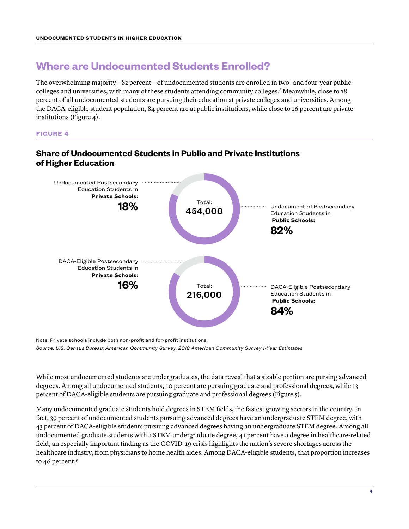## **Where are Undocumented Students Enrolled?**

The overwhelming majority—82 percent—of undocumented students are enrolled in two- and four-year public colleges and universities, with many of these students attending community colleges.<sup>8</sup> Meanwhile, close to 18 percent of all undocumented students are pursuing their education at private colleges and universities. Among the DACA-eligible student population, 84 percent are at public institutions, while close to 16 percent are private institutions (Figure 4).

**FIGURE 4**



### **Share of Undocumented Students in Public and Private Institutions of Higher Education**

Note: Private schools include both non-profit and for-profit institutions.

*Source: U.S. Census Bureau; American Community Survey, 2018 American Community Survey 1-Year Estimates.*

While most undocumented students are undergraduates, the data reveal that a sizable portion are pursing advanced degrees. Among all undocumented students, 10 percent are pursuing graduate and professional degrees, while 13 percent of DACA-eligible students are pursuing graduate and professional degrees (Figure 5).

Many undocumented graduate students hold degrees in STEM fields, the fastest growing sectors in the country. In fact, 39 percent of undocumented students pursuing advanced degrees have an undergraduate STEM degree, with 43 percent of DACA-eligible students pursuing advanced degrees having an undergraduate STEM degree. Among all undocumented graduate students with a STEM undergraduate degree, 41 percent have a degree in healthcare-related field, an especially important finding as the COVID-19 crisis highlights the nation's severe shortages across the healthcare industry, from physicians to home health aides. Among DACA-eligible students, that proportion increases to 46 percent.<sup>9</sup>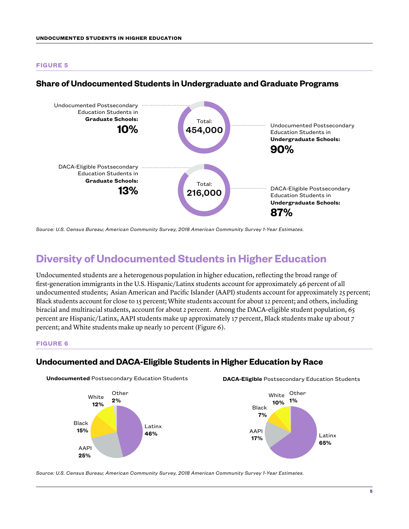#### **FIGURE 5**



#### **Share of Undocumented Students in Undergraduate and Graduate Programs**

## **Diversity of Undocumented Students in Higher Education**

Undocumented students are a heterogenous population in higher education, reflecting the broad range of first-generation immigrants in the U.S. Hispanic/Latinx students account for approximately 46 percent of all undocumented students; Asian American and Pacific Islander (AAPI) students account for approximately 25 percent; Black students account for close to 15 percent; White students account for about 12 percent; and others, including biracial and multiracial students, account for about 2 percent. Among the DACA-eligible student population, 65 percent are Hispanic/Latinx, AAPI students make up approximately 17 percent, Black students make up about 7 percent; and White students make up nearly 10 percent (Figure 6).

#### **FIGURE 6**

### **Undocumented and DACA-Eligible Students in Higher Education by Race**

**Undocumented** Postsecondary Education Students



**DACA-Eligible** Postsecondary Education Students



*Source: U.S. Census Bureau; American Community Survey, 2018 American Community Survey 1-Year Estimates.*

*Source: U.S. Census Bureau; American Community Survey, 2018 American Community Survey 1-Year Estimates.*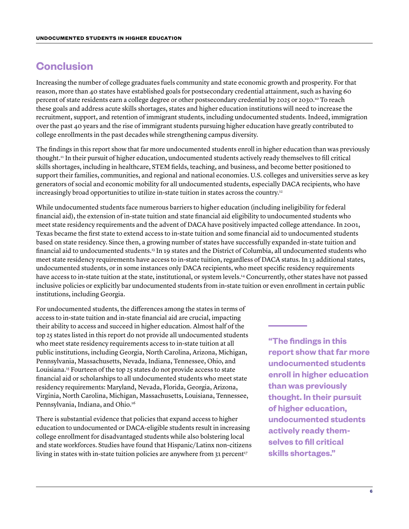## **Conclusion**

Increasing the number of college graduates fuels community and state economic growth and prosperity. For that reason, more than 40 states have established goals for postsecondary credential attainment, such as having 60 percent of state residents earn a college degree or other postsecondary credential by 2025 or 2030.<sup>10</sup> To reach these goals and address acute skills shortages, states and higher education institutions will need to increase the recruitment, support, and retention of immigrant students, including undocumented students. Indeed, immigration over the past 40 years and the rise of immigrant students pursuing higher education have greatly contributed to college enrollments in the past decades while strengthening campus diversity.

The findings in this report show that far more undocumented students enroll in higher education than was previously thought.<sup>11</sup> In their pursuit of higher education, undocumented students actively ready themselves to fill critical skills shortages, including in healthcare, STEM fields, teaching, and business, and become better positioned to support their families, communities, and regional and national economies. U.S. colleges and universities serve as key generators of social and economic mobility for all undocumented students, especially DACA recipients, who have increasingly broad opportunities to utilize in-state tuition in states across the country.<sup>12</sup>

While undocumented students face numerous barriers to higher education (including ineligibility for federal financial aid), the extension of in-state tuition and state financial aid eligibility to undocumented students who meet state residency requirements and the advent of DACA have positively impacted college attendance. In 2001, Texas became the first state to extend access to in-state tuition and some financial aid to undocumented students based on state residency. Since then, a growing number of states have successfully expanded in-state tuition and financial aid to undocumented students.<sup>13</sup> In 19 states and the District of Columbia, all undocumented students who meet state residency requirements have access to in-state tuition, regardless of DACA status. In 13 additional states, undocumented students, or in some instances only DACA recipients, who meet specific residency requirements have access to in-state tuition at the state, institutional, or system levels.<sup>14</sup> Concurrently, other states have not passed inclusive policies or explicitly bar undocumented students from in-state tuition or even enrollment in certain public institutions, including Georgia.

For undocumented students, the differences among the states in terms of access to in-state tuition and in-state financial aid are crucial, impacting their ability to access and succeed in higher education. Almost half of the top 25 states listed in this report do not provide all undocumented students who meet state residency requirements access to in-state tuition at all public institutions, including Georgia, North Carolina, Arizona, Michigan, Pennsylvania, Massachusetts, Nevada, Indiana, Tennessee, Ohio, and Louisiana.<sup>15</sup> Fourteen of the top 25 states do not provide access to state financial aid or scholarships to all undocumented students who meet state residency requirements: Maryland, Nevada, Florida, Georgia, Arizona, Virginia, North Carolina, Michigan, Massachusetts, Louisiana, Tennessee, Pennsylvania, Indiana, and Ohio.<sup>16</sup>

There is substantial evidence that policies that expand access to higher education to undocumented or DACA-eligible students result in increasing college enrollment for disadvantaged students while also bolstering local and state workforces. Studies have found that Hispanic/Latinx non-citizens living in states with in-state tuition policies are anywhere from 31 percent<sup>17</sup>

**"The findings in this report show that far more undocumented students enroll in higher education than was previously thought. In their pursuit of higher education, undocumented students actively ready themselves to fill critical skills shortages."**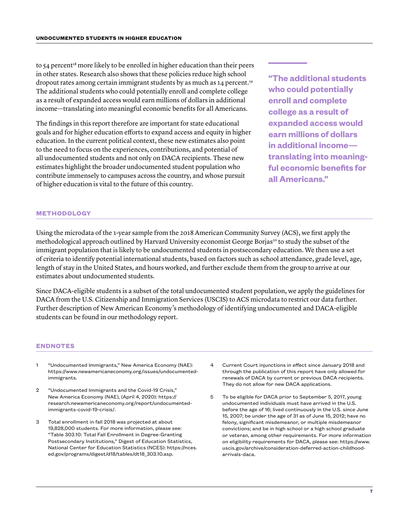to 54 percent<sup>18</sup> more likely to be enrolled in higher education than their peers in other states. Research also shows that these policies reduce high school dropout rates among certain immigrant students by as much as 14 percent.<sup>19</sup> The additional students who could potentially enroll and complete college as a result of expanded access would earn millions of dollars in additional income—translating into meaningful economic benefits for all Americans.

The findings in this report therefore are important for state educational goals and for higher education efforts to expand access and equity in higher education. In the current political context, these new estimates also point to the need to focus on the experiences, contributions, and potential of all undocumented students and not only on DACA recipients. These new estimates highlight the broader undocumented student population who contribute immensely to campuses across the country, and whose pursuit of higher education is vital to the future of this country.

**"The additional students who could potentially enroll and complete college as a result of expanded access would earn millions of dollars in additional income translating into meaningful economic benefits for all Americans."**

#### **METHODOLOGY**

Using the microdata of the 1-year sample from the 2018 American Community Survey (ACS), we first apply the methodological approach outlined by Harvard University economist George Borjas<sup>20</sup> to study the subset of the immigrant population that is likely to be undocumented students in postsecondary education. We then use a set of criteria to identify potential international students, based on factors such as school attendance, grade level, age, length of stay in the United States, and hours worked, and further exclude them from the group to arrive at our estimates about undocumented students.

Since DACA-eligible students is a subset of the total undocumented student population, we apply the guidelines for DACA from the U.S. Citizenship and Immigration Services (USCIS) to ACS microdata to restrict our data further. Further description of New American Economy's methodology of identifying undocumented and DACA-eligible students can be found in our methodology report.

#### **ENDNOTES**

- 1 "Undocumented Immigrants," New America Economy (NAE): https://www.newamericaneconomy.org/issues/undocumentedimmigrants.
- 2 "Undocumented Immigrants and the Covid-19 Crisis," New America Economy (NAE), (April 4, 2020): https:// research.newamericaneconomy.org/report/undocumentedimmigrants-covid-19-crisis/.
- 3 Total enrollment in fall 2018 was projected at about 19,828,000 students. For more information, please see: "Table 303.10: Total Fall Enrollment in Degree-Granting Postsecondary Institutions," Digest of Education Statistics, National Center for Education Statistics (NCES): https://nces. ed.gov/programs/digest/d18/tables/dt18\_303.10.asp.
- 4 Current Court injunctions in effect since January 2018 and through the publication of this report have only allowed for renewals of DACA by current or previous DACA recipients. They do not allow for new DACA applications.
- 5 To be eligible for DACA prior to September 5, 2017, young undocumented individuals must have arrived in the U.S. before the age of 16; lived continuously in the U.S. since June 15, 2007; be under the age of 31 as of June 15, 2012; have no felony, significant misdemeanor, or multiple misdemeanor convictions; and be in high school or a high school graduate or veteran, among other requirements. For more information on eligibility requirements for DACA, please see: https://www. uscis.gov/archive/consideration-deferred-action-childhoodarrivals-daca.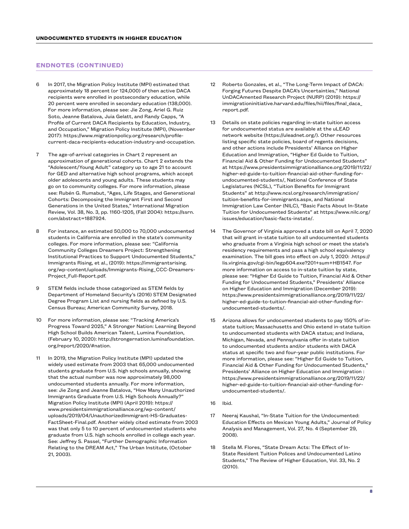#### **ENDNOTES (CONTINUED)**

- In 2017, the Migration Policy Institute (MPI) estimated that approximately 18 percent (or 124,000) of then active DACA recipients were enrolled in postsecondary education, while 20 percent were enrolled in secondary education (138,000). For more information, please see: Jie Zong, Ariel G. Ruiz Soto, Jeanne Batalova, Juia Gelatt, and Randy Capps, "A Profile of Current DACA Recipients by Education, Industry, and Occupation," Migration Policy Institute (MPI), (November 2017): https://www.migrationpolicy.org/research/profilecurrent-daca-recipients-education-industry-and-occupation.
- 7 The age-of-arrival categories in Chart 2 represent an approximation of generational cohorts. Chart 2 extends the "Adolescent/Young Adult" category up to age 21 to account for GED and alternative high school programs, which accept older adolescents and young adults. These students may go on to community colleges. For more information, please see: Rubén G. Rumabut, "Ages, Life Stages, and Generational Cohorts: Decomposing the Immigrant First and Second Generations in the United States," International Migration Review, Vol. 38, No. 3, pp. 1160-1205, (Fall 2004): https://ssrn. com/abstract=1887924.
- 8 For instance, an estimated 50,000 to 70,000 undocumented students in California are enrolled in the state's community colleges. For more information, please see: "California Community Colleges Dreamers Project: Strengthening Institutional Practices to Support Undocumented Students," Immigrants Rising, et al., (2019): https://immigrantsrising. org/wp-content/uploads/Immigrants-Rising\_CCC-Dreamers-Project\_Full-Report.pdf.
- 9 STEM fields include those categorized as STEM fields by Department of Homeland Security's (2016) STEM Designated Degree Program List and nursing fields as defined by U.S. Census Bureau; American Community Survey, 2018.
- 10 For more information, please see: "Tracking America's Progress Toward 2025," A Stronger Nation: Learning Beyond High School Builds American Talent, Lumina Foundation, (February 10, 2020): http://strongernation.luminafoundation. org/report/2020/#nation.
- 11 In 2019, the Migration Policy Institute (MPI) updated the widely used estimate from 2003 that 65,000 undocumented students graduate from U.S. high schools annually, showing that the actual number was now approximately 98,000 undocumented students annually. For more information, see: Jie Zong and Jeanne Batalova, "How Many Unauthorized Immigrants Graduate from U.S. High Schools Annually?" Migration Policy Institute (MPI) (April 2019): https:// www.presidentsimmigrationalliance.org/wp-content/ uploads/2019/04/UnauthorizedImmigrant-HS-Graduates-FactSheet-Final.pdf. Another widely cited estimate from 2003 was that only 5 to 10 percent of undocumented students who graduate from U.S. high schools enrolled in college each year. See: Jeffrey S. Passel, "Further Demographic Information Relating to the DREAM Act," The Urban Institute, (October 21, 2003).
- 12 Roberto Gonzales, et al., "The Long-Term Impact of DACA: Forging Futures Despite DACA's Uncertainties," National UnDACAmented Research Project (NURP) (2019): https:// immigrationinitiative.harvard.edu/files/hii/files/final\_daca\_ report.pdf.
- 13 Details on state policies regarding in-state tuition access for undocumented status are available at the uLEAD network website (https://uleadnet.org/). Other resources listing specific state policies, board of regents decisions, and other actions include Presidents' Alliance on Higher Education and Immigration, "Higher Ed Guide to Tuition, Financial Aid & Other Funding for Undocumented Students" at https://www.presidentsimmigrationalliance.org/2019/11/22/ higher-ed-guide-to-tuition-financial-aid-other-funding-forundocumented-students/, National Conference of State Legislatures (NCSL), "Tuition Benefits for Immigrant Students" at http://www.ncsl.org/research/immigration/ tuition-benefits-for-immigrants.aspx, and National Immigration Law Center (NILC), "Basic Facts About In-State Tuition for Undocumented Students" at https://www.nilc.org/ issues/education/basic-facts-instate/.
- 14 The Governor of Virginia approved a state bill on April 7, 2020 that will grant in-state tuition to all undocumented students who graduate from a Virginia high school or meet the state's residency requirements and pass a high school equivalency examination. The bill goes into effect on July 1, 2020: .https:// lis.virginia.gov/cgi-bin/legp604.exe?201+sum+HB1547. For more information on access to in-state tuition by state, please see: "Higher Ed Guide to Tuition, Financial Aid & Other Funding for Undocumented Students," Presidents' Alliance on Higher Education and Immigration (December 2019): https://www.presidentsimmigrationalliance.org/2019/11/22/ higher-ed-guide-to-tuition-financial-aid-other-funding-forundocumented-students/.
- 15 Arizona allows for undocumented students to pay 150% of instate tuition; Massachusetts and Ohio extend in-state tuition to undocumented students with DACA status; and Indiana, Michigan, Nevada, and Pennsylvania offer in-state tuition to undocumented students and/or students with DACA status at specific two and four-year public institutions. For more information, please see: "Higher Ed Guide to Tuition, Financial Aid & Other Funding for Undocumented Students," Presidents' Alliance on Higher Education and Immigration : https://www.presidentsimmigrationalliance.org/2019/11/22/ higher-ed-guide-to-tuition-financial-aid-other-funding-forundocumented-students/.
- 16 Ibid.
- 17 Neeraj Kaushal, "In-State Tuition for the Undocumented: Education Effects on Mexican Young Adults," Journal of Policy Analysis and Management, Vol. 27, No. 4 (September 29, 2008).
- Stella M. Flores, "State Dream Acts: The Effect of In-State Resident Tuition Polices and Undocumented Latino Students," The Review of Higher Education, Vol. 33, No. 2 (2010).